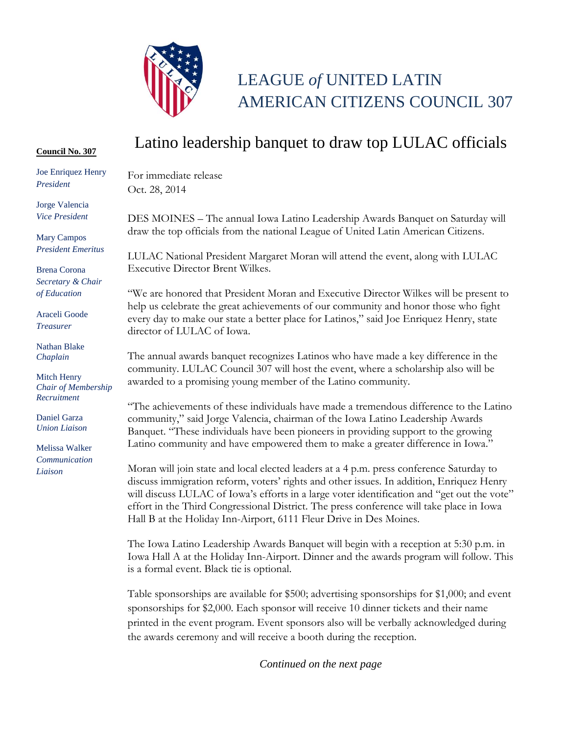

## LEAGUE *of* UNITED LATIN AMERICAN CITIZENS COUNCIL 307

## **Council No. 307**

Joe Enriquez Henry *President*

Jorge Valencia *Vice President*

Mary Campos *President Emeritus*

Brena Corona *Secretary & Chair of Education*

Araceli Goode *Treasurer*

Nathan Blake *Chaplain*

Mitch Henry *Chair of Membership Recruitment*

Daniel Garza *Union Liaison* 

Melissa Walker *Communication Liaison*

## Latino leadership banquet to draw top LULAC officials

For immediate release Oct. 28, 2014

DES MOINES – The annual Iowa Latino Leadership Awards Banquet on Saturday will draw the top officials from the national League of United Latin American Citizens.

LULAC National President Margaret Moran will attend the event, along with LULAC Executive Director Brent Wilkes.

"We are honored that President Moran and Executive Director Wilkes will be present to help us celebrate the great achievements of our community and honor those who fight every day to make our state a better place for Latinos," said Joe Enriquez Henry, state director of LULAC of Iowa.

The annual awards banquet recognizes Latinos who have made a key difference in the community. LULAC Council 307 will host the event, where a scholarship also will be awarded to a promising young member of the Latino community.

"The achievements of these individuals have made a tremendous difference to the Latino community," said Jorge Valencia, chairman of the Iowa Latino Leadership Awards Banquet. "These individuals have been pioneers in providing support to the growing Latino community and have empowered them to make a greater difference in Iowa."

Moran will join state and local elected leaders at a 4 p.m. press conference Saturday to discuss immigration reform, voters' rights and other issues. In addition, Enriquez Henry will discuss LULAC of Iowa's efforts in a large voter identification and "get out the vote" effort in the Third Congressional District. The press conference will take place in Iowa Hall B at the Holiday Inn-Airport, 6111 Fleur Drive in Des Moines.

The Iowa Latino Leadership Awards Banquet will begin with a reception at 5:30 p.m. in Iowa Hall A at the Holiday Inn-Airport. Dinner and the awards program will follow. This is a formal event. Black tie is optional.

Table sponsorships are available for \$500; advertising sponsorships for \$1,000; and event sponsorships for \$2,000. Each sponsor will receive 10 dinner tickets and their name printed in the event program. Event sponsors also will be verbally acknowledged during the awards ceremony and will receive a booth during the reception.

*Continued on the next page*